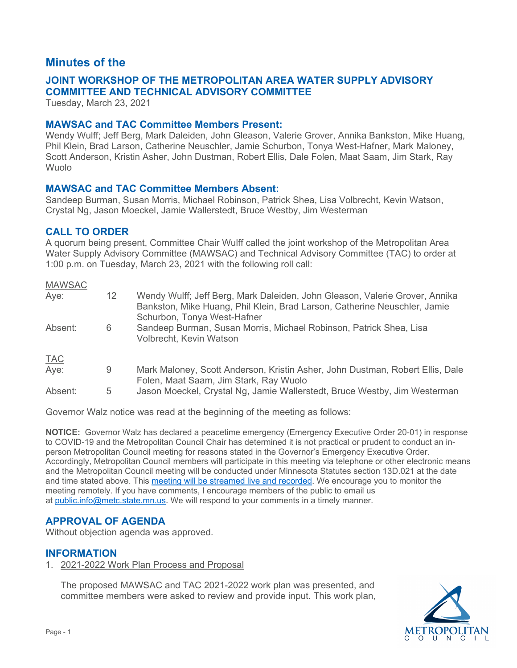# **Minutes of the**

# **COMMITTEE AND TECHNICAL ADVISORY COMMITTEE JOINT WORKSHOP OF THE METROPOLITAN AREA WATER SUPPLY ADVISORY**

Tuesday, March 23, 2021

# **MAWSAC and TAC Committee Members Present:**

Wendy Wulff; Jeff Berg, Mark Daleiden, John Gleason, Valerie Grover, Annika Bankston, Mike Huang, Phil Klein, Brad Larson, Catherine Neuschler, Jamie Schurbon, Tonya West-Hafner, Mark Maloney, Scott Anderson, Kristin Asher, John Dustman, Robert Ellis, Dale Folen, Maat Saam, Jim Stark, Ray Wuolo

#### **MAWSAC and TAC Committee Members Absent:**

Sandeep Burman, Susan Morris, Michael Robinson, Patrick Shea, Lisa Volbrecht, Kevin Watson, Crystal Ng, Jason Moeckel, Jamie Wallerstedt, Bruce Westby, Jim Westerman

# **CALL TO ORDER**

 A quorum being present, Committee Chair Wulff called the joint workshop of the Metropolitan Area Water Supply Advisory Committee (MAWSAC) and Technical Advisory Committee (TAC) to order at 1:00 p.m. on Tuesday, March 23, 2021 with the following roll call:

| <b>MAWSAC</b> |    |                                                                                                                                                                                         |
|---------------|----|-----------------------------------------------------------------------------------------------------------------------------------------------------------------------------------------|
| Aye:          | 12 | Wendy Wulff; Jeff Berg, Mark Daleiden, John Gleason, Valerie Grover, Annika<br>Bankston, Mike Huang, Phil Klein, Brad Larson, Catherine Neuschler, Jamie<br>Schurbon, Tonya West-Hafner |
| Absent:       | 6  | Sandeep Burman, Susan Morris, Michael Robinson, Patrick Shea, Lisa<br>Volbrecht, Kevin Watson                                                                                           |
| <b>TAC</b>    |    |                                                                                                                                                                                         |
| Aye:          | 9  | Mark Maloney, Scott Anderson, Kristin Asher, John Dustman, Robert Ellis, Dale<br>Folen, Maat Saam, Jim Stark, Ray Wuolo                                                                 |
| Absent:       | 5  | Jason Moeckel, Crystal Ng, Jamie Wallerstedt, Bruce Westby, Jim Westerman                                                                                                               |

Governor Walz notice was read at the beginning of the meeting as follows:

 **NOTICE:** Governor Walz has declared a peacetime emergency (Emergency Executive Order 20-01) in response to COVID-19 and the Metropolitan Council Chair has determined it is not practical or prudent to conduct an in- person Metropolitan Council meeting for reasons stated in the Governor's Emergency Executive Order. Accordingly, Metropolitan Council members will participate in this meeting via telephone or other electronic means and time stated above. This <u>meeting will be streamed live and recorded</u>. We encourage you to monitor the meeting remotely. If you have comments, I encourage members of the public to email us at <u>public.info@metc.state.mn.us</u>. We will respond to your comments in a timely manner. and the Metropolitan Council meeting will be conducted under Minnesota Statutes section 13D.021 at the date

# **APPROVAL OF AGENDA**

Without objection agenda was approved.

# **INFORMATION**

1. 2021-2022 Work Plan Process and Proposal

The proposed MAWSAC and TAC 2021-2022 work plan was presented, and committee members were asked to review and provide input. This work plan,

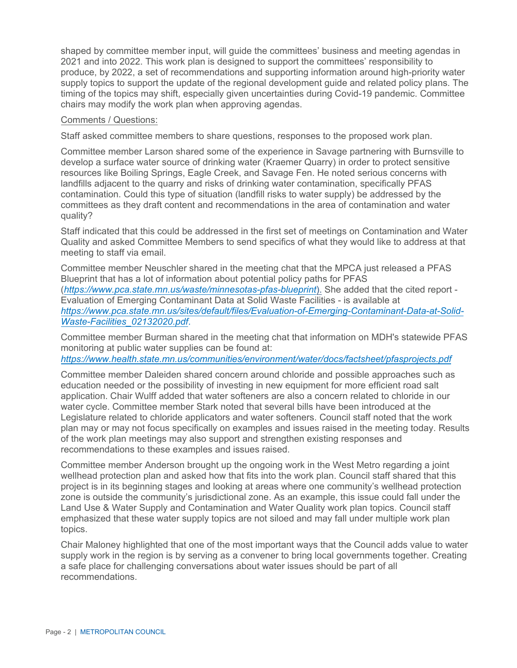shaped by committee member input, will guide the committees' business and meeting agendas in 2021 and into 2022. This work plan is designed to support the committees' responsibility to produce, by 2022, a set of recommendations and supporting information around high-priority water supply topics to support the update of the regional development guide and related policy plans. The timing of the topics may shift, especially given uncertainties during Covid-19 pandemic. Committee chairs may modify the work plan when approving agendas.

#### Comments / Questions:

Staff asked committee members to share questions, responses to the proposed work plan.

Committee member Larson shared some of the experience in Savage partnering with Burnsville to develop a surface water source of drinking water (Kraemer Quarry) in order to protect sensitive resources like Boiling Springs, Eagle Creek, and Savage Fen. He noted serious concerns with landfills adjacent to the quarry and risks of drinking water contamination, specifically PFAS contamination. Could this type of situation (landfill risks to water supply) be addressed by the committees as they draft content and recommendations in the area of contamination and water quality?

Staff indicated that this could be addressed in the first set of meetings on Contamination and Water Quality and asked Committee Members to send specifics of what they would like to address at that meeting to staff via email.

Committee member Neuschler shared in the meeting chat that the MPCA just released a PFAS Blueprint that has a lot of information about potential policy paths for PFAS (*<https://www.pca.state.mn.us/waste/minnesotas-pfas-blueprint>*). She added that the cited report - Evaluation of Emerging Contaminant Data at Solid Waste Facilities - is available at *[https://www.pca.state.mn.us/sites/default/files/Evaluation-of-Emerging-Contaminant-Data-at-Solid-](https://www.pca.state.mn.us/sites/default/files/Evaluation-of-Emerging-Contaminant-Data-at-Solid-Waste-Facilities_02132020.pdf)[Waste-Facilities\\_02132020.pdf](https://www.pca.state.mn.us/sites/default/files/Evaluation-of-Emerging-Contaminant-Data-at-Solid-Waste-Facilities_02132020.pdf)*.

Committee member Burman shared in the meeting chat that information on MDH's statewide PFAS monitoring at public water supplies can be found at:

*<https://www.health.state.mn.us/communities/environment/water/docs/factsheet/pfasprojects.pdf>*

Committee member Daleiden shared concern around chloride and possible approaches such as education needed or the possibility of investing in new equipment for more efficient road salt application. Chair Wulff added that water softeners are also a concern related to chloride in our water cycle. Committee member Stark noted that several bills have been introduced at the Legislature related to chloride applicators and water softeners. Council staff noted that the work plan may or may not focus specifically on examples and issues raised in the meeting today. Results of the work plan meetings may also support and strengthen existing responses and recommendations to these examples and issues raised.

Committee member Anderson brought up the ongoing work in the West Metro regarding a joint wellhead protection plan and asked how that fits into the work plan. Council staff shared that this project is in its beginning stages and looking at areas where one community's wellhead protection zone is outside the community's jurisdictional zone. As an example, this issue could fall under the Land Use & Water Supply and Contamination and Water Quality work plan topics. Council staff emphasized that these water supply topics are not siloed and may fall under multiple work plan topics.

Chair Maloney highlighted that one of the most important ways that the Council adds value to water supply work in the region is by serving as a convener to bring local governments together. Creating a safe place for challenging conversations about water issues should be part of all recommendations.